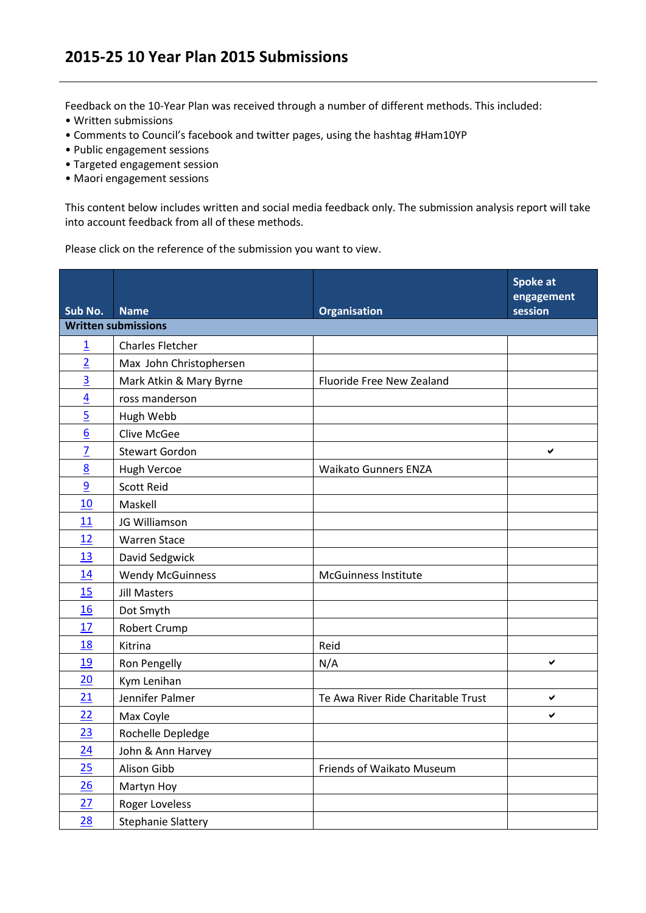## **2015-25 10 Year Plan 2015 Submissions**

Feedback on the 10-Year Plan was received through a number of different methods. This included:

- Written submissions
- Comments to Council's facebook and twitter pages, using the hashtag #Ham10YP
- Public engagement sessions
- Targeted engagement session
- Maori engagement sessions

This content below includes written and social media feedback only. The submission analysis report will take into account feedback from all of these methods.

Please click on the reference of the submission you want to view.

| Sub No.        | <b>Name</b>                | <b>Organisation</b>                | <b>Spoke at</b><br>engagement<br>session |
|----------------|----------------------------|------------------------------------|------------------------------------------|
|                | <b>Written submissions</b> |                                    |                                          |
| $\overline{1}$ | <b>Charles Fletcher</b>    |                                    |                                          |
| $\overline{2}$ | Max John Christophersen    |                                    |                                          |
| $\overline{3}$ | Mark Atkin & Mary Byrne    | Fluoride Free New Zealand          |                                          |
| $\overline{4}$ | ross manderson             |                                    |                                          |
| $\overline{5}$ | Hugh Webb                  |                                    |                                          |
| $\overline{6}$ | <b>Clive McGee</b>         |                                    |                                          |
| $\overline{Z}$ | <b>Stewart Gordon</b>      |                                    | ✔                                        |
| 8              | Hugh Vercoe                | <b>Waikato Gunners ENZA</b>        |                                          |
| $\overline{9}$ | <b>Scott Reid</b>          |                                    |                                          |
| 10             | Maskell                    |                                    |                                          |
| 11             | JG Williamson              |                                    |                                          |
| 12             | <b>Warren Stace</b>        |                                    |                                          |
| 13             | David Sedgwick             |                                    |                                          |
| 14             | <b>Wendy McGuinness</b>    | <b>McGuinness Institute</b>        |                                          |
| 15             | <b>Jill Masters</b>        |                                    |                                          |
| 16             | Dot Smyth                  |                                    |                                          |
| 17             | Robert Crump               |                                    |                                          |
| 18             | Kitrina                    | Reid                               |                                          |
| 19             | Ron Pengelly               | N/A                                | $\checkmark$                             |
| 20             | Kym Lenihan                |                                    |                                          |
| 21             | Jennifer Palmer            | Te Awa River Ride Charitable Trust | $\checkmark$                             |
| 22             | Max Coyle                  |                                    | ✔                                        |
| 23             | Rochelle Depledge          |                                    |                                          |
| 24             | John & Ann Harvey          |                                    |                                          |
| 25             | Alison Gibb                | Friends of Waikato Museum          |                                          |
| 26             | Martyn Hoy                 |                                    |                                          |
| 27             | <b>Roger Loveless</b>      |                                    |                                          |
| 28             | <b>Stephanie Slattery</b>  |                                    |                                          |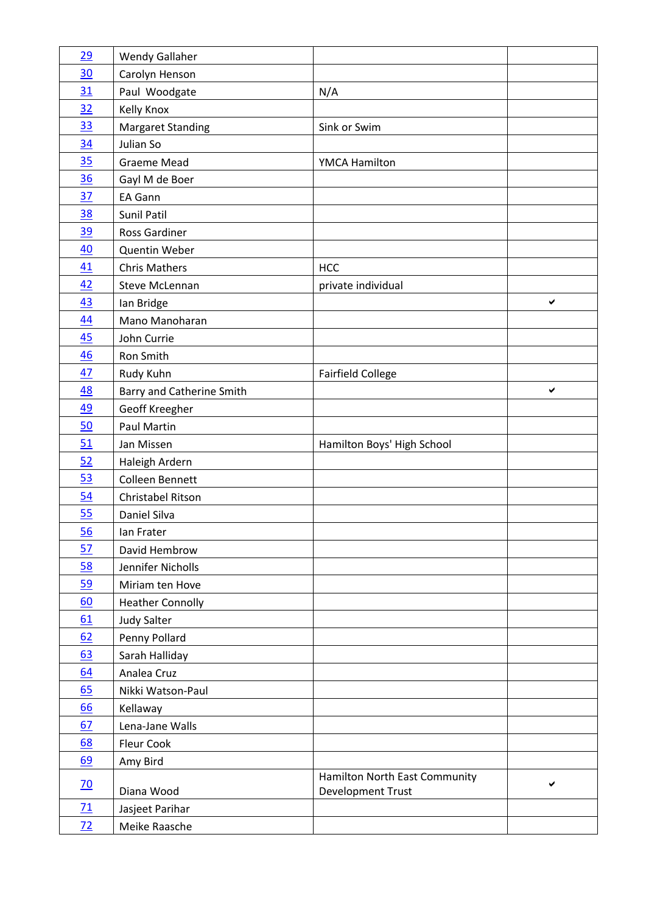| 29              | <b>Wendy Gallaher</b>            |                               |   |
|-----------------|----------------------------------|-------------------------------|---|
| 30              | Carolyn Henson                   |                               |   |
| 31              | Paul Woodgate                    | N/A                           |   |
| 32              | Kelly Knox                       |                               |   |
| <u>33</u>       | <b>Margaret Standing</b>         | Sink or Swim                  |   |
| 34              | Julian So                        |                               |   |
| 35              | <b>Graeme Mead</b>               | <b>YMCA Hamilton</b>          |   |
| 36              | Gayl M de Boer                   |                               |   |
| 37              | <b>EA Gann</b>                   |                               |   |
| <u>38</u>       | Sunil Patil                      |                               |   |
| <u>39</u>       | <b>Ross Gardiner</b>             |                               |   |
| 40              | <b>Quentin Weber</b>             |                               |   |
| 41              | <b>Chris Mathers</b>             | <b>HCC</b>                    |   |
| 42              | Steve McLennan                   | private individual            |   |
| 43              | Ian Bridge                       |                               | ✔ |
| 44              | Mano Manoharan                   |                               |   |
| 45              | John Currie                      |                               |   |
| 46              | Ron Smith                        |                               |   |
| 47              | Rudy Kuhn                        | <b>Fairfield College</b>      |   |
| <u>48</u>       | <b>Barry and Catherine Smith</b> |                               | ✔ |
| <u>49</u>       | Geoff Kreegher                   |                               |   |
| 50              | Paul Martin                      |                               |   |
| 51              | Jan Missen                       | Hamilton Boys' High School    |   |
| 52              | Haleigh Ardern                   |                               |   |
| 53              | Colleen Bennett                  |                               |   |
| 54              | Christabel Ritson                |                               |   |
| 55              | Daniel Silva                     |                               |   |
| 56              | Ian Frater                       |                               |   |
| 57              | David Hembrow                    |                               |   |
| 58              | Jennifer Nicholls                |                               |   |
| 59              | Miriam ten Hove                  |                               |   |
| 60              | <b>Heather Connolly</b>          |                               |   |
| 61              | <b>Judy Salter</b>               |                               |   |
| 62              | Penny Pollard                    |                               |   |
| 63              | Sarah Halliday                   |                               |   |
| 64              | Analea Cruz                      |                               |   |
| 65              | Nikki Watson-Paul                |                               |   |
| 66              | Kellaway                         |                               |   |
| 67              | Lena-Jane Walls                  |                               |   |
| <u>68</u>       | Fleur Cook                       |                               |   |
| 69              | Amy Bird                         |                               |   |
| $\overline{20}$ |                                  | Hamilton North East Community | ✔ |
|                 | Diana Wood                       | Development Trust             |   |
| 71              | Jasjeet Parihar                  |                               |   |
| 72              | Meike Raasche                    |                               |   |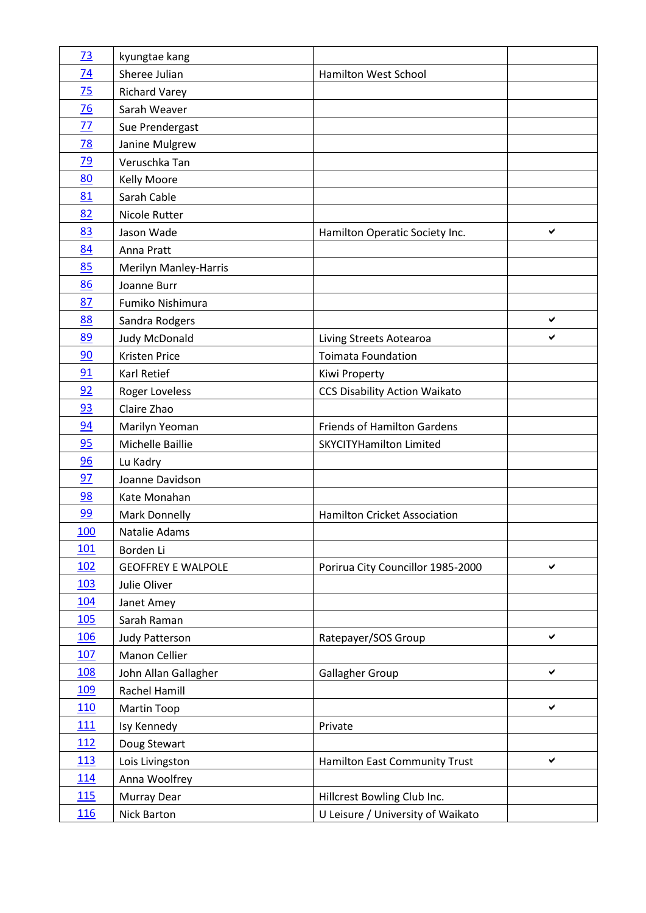| 73              | kyungtae kang             |                                      |              |
|-----------------|---------------------------|--------------------------------------|--------------|
| 74              | Sheree Julian             | Hamilton West School                 |              |
| 75              | <b>Richard Varey</b>      |                                      |              |
| 76              | Sarah Weaver              |                                      |              |
| 77              | Sue Prendergast           |                                      |              |
| $\overline{78}$ | Janine Mulgrew            |                                      |              |
| 79              | Veruschka Tan             |                                      |              |
| 80              | <b>Kelly Moore</b>        |                                      |              |
| 81              | Sarah Cable               |                                      |              |
| 82              | Nicole Rutter             |                                      |              |
| 83              | Jason Wade                | Hamilton Operatic Society Inc.       | ✔            |
| 84              | Anna Pratt                |                                      |              |
| 85              | Merilyn Manley-Harris     |                                      |              |
| 86              | Joanne Burr               |                                      |              |
| 87              | Fumiko Nishimura          |                                      |              |
| 88              | Sandra Rodgers            |                                      | ✔            |
| 89              | Judy McDonald             | Living Streets Aotearoa              | ✔            |
| 90              | Kristen Price             | <b>Toimata Foundation</b>            |              |
| 91              | Karl Retief               | Kiwi Property                        |              |
| 92              | Roger Loveless            | <b>CCS Disability Action Waikato</b> |              |
| 93              | Claire Zhao               |                                      |              |
| 94              | Marilyn Yeoman            | <b>Friends of Hamilton Gardens</b>   |              |
| 95              | Michelle Baillie          | <b>SKYCITYHamilton Limited</b>       |              |
| 96              | Lu Kadry                  |                                      |              |
| 97              | Joanne Davidson           |                                      |              |
| 98              | Kate Monahan              |                                      |              |
| 99              | Mark Donnelly             | <b>Hamilton Cricket Association</b>  |              |
| <u>100</u>      | Natalie Adams             |                                      |              |
| 101             | Borden Li                 |                                      |              |
| <u>102</u>      | <b>GEOFFREY E WALPOLE</b> | Porirua City Councillor 1985-2000    | ✔            |
| 103             | Julie Oliver              |                                      |              |
| <u>104</u>      | Janet Amey                |                                      |              |
| <b>105</b>      | Sarah Raman               |                                      |              |
| <b>106</b>      | Judy Patterson            | Ratepayer/SOS Group                  | $\checkmark$ |
| 107             | Manon Cellier             |                                      |              |
| <u>108</u>      | John Allan Gallagher      | Gallagher Group                      | ✔            |
| <u>109</u>      | Rachel Hamill             |                                      |              |
| <b>110</b>      | Martin Toop               |                                      | $\checkmark$ |
| <u>111</u>      | Isy Kennedy               | Private                              |              |
| 112             | Doug Stewart              |                                      |              |
| <u>113</u>      | Lois Livingston           | Hamilton East Community Trust        | ✔            |
| 114             | Anna Woolfrey             |                                      |              |
| 115             | Murray Dear               | Hillcrest Bowling Club Inc.          |              |
| <u>116</u>      | Nick Barton               | U Leisure / University of Waikato    |              |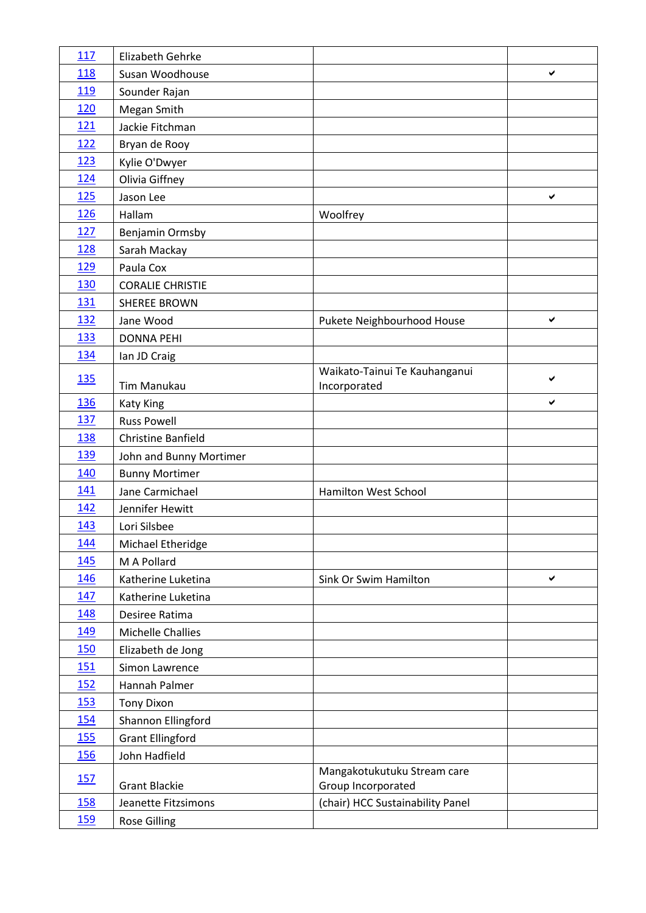| 117        | Elizabeth Gehrke          |                                                   |   |
|------------|---------------------------|---------------------------------------------------|---|
| 118        | Susan Woodhouse           |                                                   | ✔ |
| 119        | Sounder Rajan             |                                                   |   |
| 120        | Megan Smith               |                                                   |   |
| 121        | Jackie Fitchman           |                                                   |   |
| 122        | Bryan de Rooy             |                                                   |   |
| 123        | Kylie O'Dwyer             |                                                   |   |
| <u>124</u> | Olivia Giffney            |                                                   |   |
| 125        | Jason Lee                 |                                                   | ✔ |
| <b>126</b> | Hallam                    | Woolfrey                                          |   |
| 127        | Benjamin Ormsby           |                                                   |   |
| 128        | Sarah Mackay              |                                                   |   |
| <u>129</u> | Paula Cox                 |                                                   |   |
| 130        | <b>CORALIE CHRISTIE</b>   |                                                   |   |
| 131        | <b>SHEREE BROWN</b>       |                                                   |   |
| 132        | Jane Wood                 | Pukete Neighbourhood House                        | ✔ |
| 133        | <b>DONNA PEHI</b>         |                                                   |   |
| 134        | Ian JD Craig              |                                                   |   |
| <u>135</u> | <b>Tim Manukau</b>        | Waikato-Tainui Te Kauhanganui<br>Incorporated     | ✔ |
| 136        | <b>Katy King</b>          |                                                   | ✔ |
| <u>137</u> | <b>Russ Powell</b>        |                                                   |   |
| 138        | <b>Christine Banfield</b> |                                                   |   |
| <b>139</b> | John and Bunny Mortimer   |                                                   |   |
| 140        | <b>Bunny Mortimer</b>     |                                                   |   |
| 141        | Jane Carmichael           | Hamilton West School                              |   |
| 142        | Jennifer Hewitt           |                                                   |   |
| 143        | Lori Silsbee              |                                                   |   |
| 144        | Michael Etheridge         |                                                   |   |
| <u>145</u> | M A Pollard               |                                                   |   |
| 146        | Katherine Luketina        | Sink Or Swim Hamilton                             | ✔ |
| <u>147</u> | Katherine Luketina        |                                                   |   |
| 148        | Desiree Ratima            |                                                   |   |
| 149        | Michelle Challies         |                                                   |   |
| <b>150</b> | Elizabeth de Jong         |                                                   |   |
| <u>151</u> | Simon Lawrence            |                                                   |   |
| <u>152</u> | Hannah Palmer             |                                                   |   |
| 153        | <b>Tony Dixon</b>         |                                                   |   |
| <u>154</u> | Shannon Ellingford        |                                                   |   |
| <b>155</b> | <b>Grant Ellingford</b>   |                                                   |   |
| <b>156</b> | John Hadfield             |                                                   |   |
| <u>157</u> | <b>Grant Blackie</b>      | Mangakotukutuku Stream care<br>Group Incorporated |   |
| 158        | Jeanette Fitzsimons       | (chair) HCC Sustainability Panel                  |   |
| <u>159</u> | <b>Rose Gilling</b>       |                                                   |   |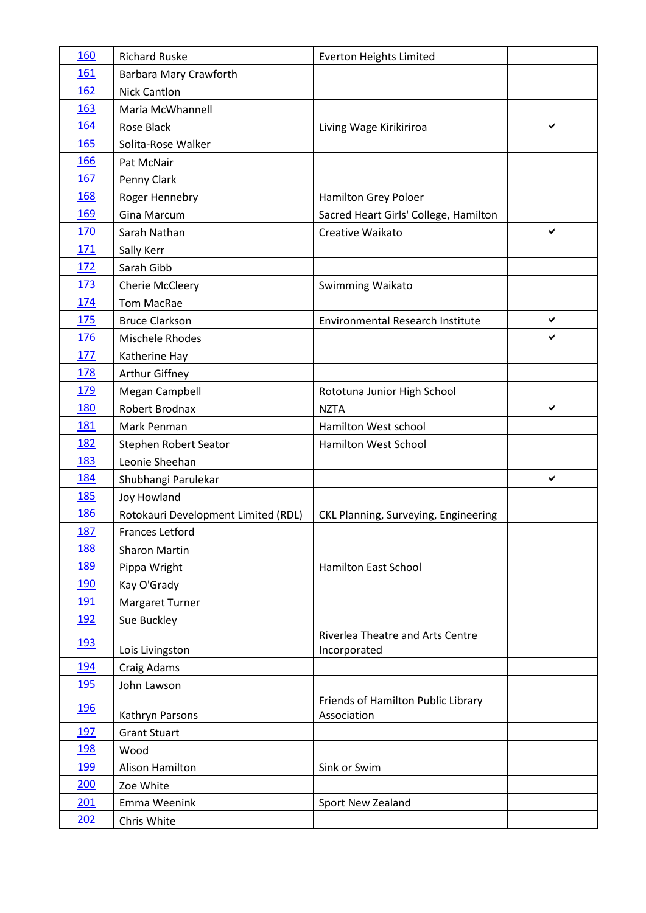| 160        | <b>Richard Ruske</b>                | <b>Everton Heights Limited</b>                    |   |
|------------|-------------------------------------|---------------------------------------------------|---|
| 161        | Barbara Mary Crawforth              |                                                   |   |
| 162        | <b>Nick Cantlon</b>                 |                                                   |   |
| 163        | Maria McWhannell                    |                                                   |   |
| 164        | Rose Black                          | Living Wage Kirikiriroa                           | ✔ |
| 165        | Solita-Rose Walker                  |                                                   |   |
| 166        | Pat McNair                          |                                                   |   |
| 167        | Penny Clark                         |                                                   |   |
| 168        | Roger Hennebry                      | Hamilton Grey Poloer                              |   |
| 169        | <b>Gina Marcum</b>                  | Sacred Heart Girls' College, Hamilton             |   |
| 170        | Sarah Nathan                        | Creative Waikato                                  | ✔ |
| 171        | Sally Kerr                          |                                                   |   |
| <u>172</u> | Sarah Gibb                          |                                                   |   |
| <u>173</u> | Cherie McCleery                     | Swimming Waikato                                  |   |
| 174        | <b>Tom MacRae</b>                   |                                                   |   |
| 175        | <b>Bruce Clarkson</b>               | <b>Environmental Research Institute</b>           | ✔ |
| 176        | Mischele Rhodes                     |                                                   | ✔ |
| 177        | Katherine Hay                       |                                                   |   |
| 178        | Arthur Giffney                      |                                                   |   |
| 179        | Megan Campbell                      | Rototuna Junior High School                       |   |
| 180        | Robert Brodnax                      | <b>NZTA</b>                                       | ✔ |
| 181        | Mark Penman                         | Hamilton West school                              |   |
| 182        | Stephen Robert Seator               | <b>Hamilton West School</b>                       |   |
| 183        | Leonie Sheehan                      |                                                   |   |
| <u>184</u> | Shubhangi Parulekar                 |                                                   | ✔ |
| 185        | <b>Joy Howland</b>                  |                                                   |   |
| 186        | Rotokauri Development Limited (RDL) | CKL Planning, Surveying, Engineering              |   |
| 187        | Frances Letford                     |                                                   |   |
| 188        | <b>Sharon Martin</b>                |                                                   |   |
| 189        | Pippa Wright                        | Hamilton East School                              |   |
| <u>190</u> | Kay O'Grady                         |                                                   |   |
| <u>191</u> | Margaret Turner                     |                                                   |   |
| <u>192</u> | Sue Buckley                         |                                                   |   |
| <u>193</u> | Lois Livingston                     | Riverlea Theatre and Arts Centre<br>Incorporated  |   |
| <u>194</u> | Craig Adams                         |                                                   |   |
| <u>195</u> | John Lawson                         |                                                   |   |
| <u>196</u> | Kathryn Parsons                     | Friends of Hamilton Public Library<br>Association |   |
| 197        | <b>Grant Stuart</b>                 |                                                   |   |
| <u>198</u> | Wood                                |                                                   |   |
| <u>199</u> | Alison Hamilton                     | Sink or Swim                                      |   |
| 200        | Zoe White                           |                                                   |   |
| 201        | Emma Weenink                        | Sport New Zealand                                 |   |
| 202        | Chris White                         |                                                   |   |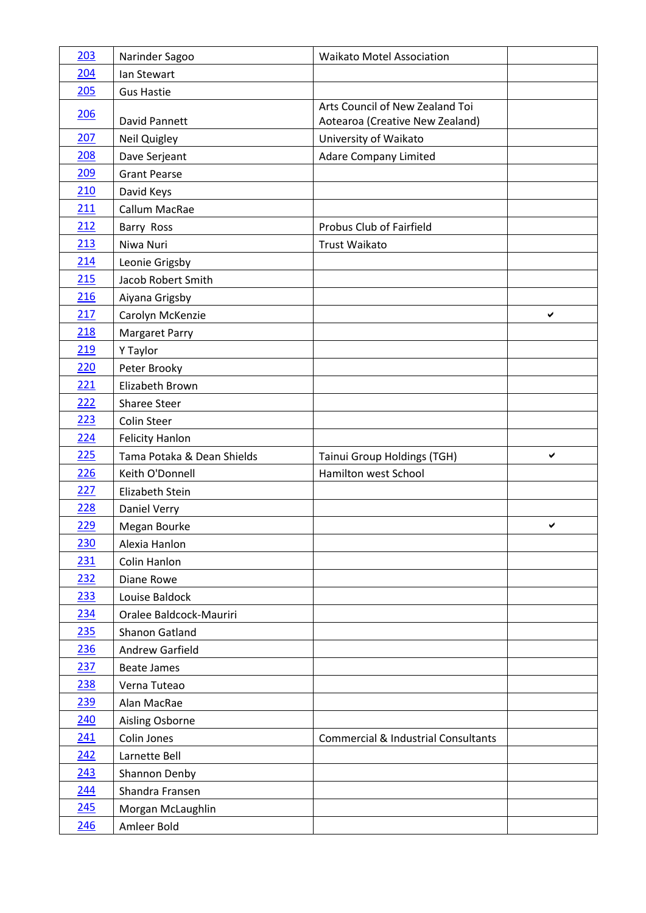| 203        | Narinder Sagoo             | <b>Waikato Motel Association</b>               |   |
|------------|----------------------------|------------------------------------------------|---|
| 204        | Ian Stewart                |                                                |   |
| 205        | <b>Gus Hastie</b>          |                                                |   |
| 206        |                            | Arts Council of New Zealand Toi                |   |
|            | David Pannett              | Aotearoa (Creative New Zealand)                |   |
| 207        | Neil Quigley               | University of Waikato                          |   |
| 208        | Dave Serjeant              | <b>Adare Company Limited</b>                   |   |
| 209        | <b>Grant Pearse</b>        |                                                |   |
| 210        | David Keys                 |                                                |   |
| 211        | Callum MacRae              |                                                |   |
| 212        | Barry Ross                 | Probus Club of Fairfield                       |   |
| 213        | Niwa Nuri                  | <b>Trust Waikato</b>                           |   |
| 214        | Leonie Grigsby             |                                                |   |
| 215        | Jacob Robert Smith         |                                                |   |
| 216        | Aiyana Grigsby             |                                                |   |
| 217        | Carolyn McKenzie           |                                                | ✔ |
| 218        | <b>Margaret Parry</b>      |                                                |   |
| 219        | Y Taylor                   |                                                |   |
| 220        | Peter Brooky               |                                                |   |
| 221        | Elizabeth Brown            |                                                |   |
| 222        | <b>Sharee Steer</b>        |                                                |   |
| 223        | <b>Colin Steer</b>         |                                                |   |
| 224        | <b>Felicity Hanlon</b>     |                                                |   |
| 225        | Tama Potaka & Dean Shields | Tainui Group Holdings (TGH)                    | ✔ |
| 226        | Keith O'Donnell            | Hamilton west School                           |   |
| 227        | Elizabeth Stein            |                                                |   |
| 228        | <b>Daniel Verry</b>        |                                                |   |
| 229        | Megan Bourke               |                                                | ✔ |
| 230        | Alexia Hanlon              |                                                |   |
| 231        | Colin Hanlon               |                                                |   |
| 232        | Diane Rowe                 |                                                |   |
| 233        | Louise Baldock             |                                                |   |
| 234        | Oralee Baldcock-Mauriri    |                                                |   |
| 235        | Shanon Gatland             |                                                |   |
| 236        | Andrew Garfield            |                                                |   |
| 237        | <b>Beate James</b>         |                                                |   |
| 238        | Verna Tuteao               |                                                |   |
| 239        | Alan MacRae                |                                                |   |
| 240        | Aisling Osborne            |                                                |   |
| 241        | Colin Jones                | <b>Commercial &amp; Industrial Consultants</b> |   |
| 242        | Larnette Bell              |                                                |   |
| 243        | Shannon Denby              |                                                |   |
| 244        | Shandra Fransen            |                                                |   |
| 245        | Morgan McLaughlin          |                                                |   |
| <u>246</u> | Amleer Bold                |                                                |   |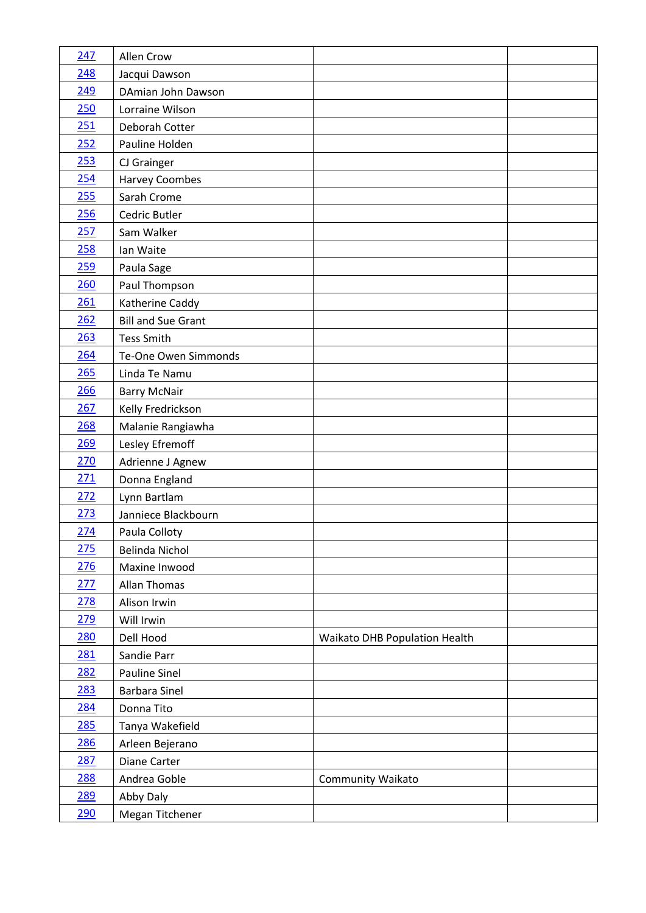| 247        | Allen Crow                |                               |  |
|------------|---------------------------|-------------------------------|--|
| 248        | Jacqui Dawson             |                               |  |
| 249        | DAmian John Dawson        |                               |  |
| 250        | Lorraine Wilson           |                               |  |
| 251        | Deborah Cotter            |                               |  |
| 252        | Pauline Holden            |                               |  |
| 253        | CJ Grainger               |                               |  |
| 254        | <b>Harvey Coombes</b>     |                               |  |
| 255        | Sarah Crome               |                               |  |
| 256        | Cedric Butler             |                               |  |
| 257        | Sam Walker                |                               |  |
| 258        | Ian Waite                 |                               |  |
| 259        | Paula Sage                |                               |  |
| 260        | Paul Thompson             |                               |  |
| 261        | Katherine Caddy           |                               |  |
| 262        | <b>Bill and Sue Grant</b> |                               |  |
| 263        | <b>Tess Smith</b>         |                               |  |
| 264        | Te-One Owen Simmonds      |                               |  |
| 265        | Linda Te Namu             |                               |  |
| 266        | <b>Barry McNair</b>       |                               |  |
| 267        | Kelly Fredrickson         |                               |  |
| 268        | Malanie Rangiawha         |                               |  |
| 269        | Lesley Efremoff           |                               |  |
| 270        | Adrienne J Agnew          |                               |  |
| <u>271</u> | Donna England             |                               |  |
| 272        | Lynn Bartlam              |                               |  |
| 273        | Janniece Blackbourn       |                               |  |
| 274        | Paula Colloty             |                               |  |
| 275        | Belinda Nichol            |                               |  |
| 276        | Maxine Inwood             |                               |  |
| 277        | <b>Allan Thomas</b>       |                               |  |
| 278        | Alison Irwin              |                               |  |
| 279        | Will Irwin                |                               |  |
| <b>280</b> | Dell Hood                 | Waikato DHB Population Health |  |
| 281        | Sandie Parr               |                               |  |
| <u>282</u> | <b>Pauline Sinel</b>      |                               |  |
| 283        | <b>Barbara Sinel</b>      |                               |  |
| 284        | Donna Tito                |                               |  |
| <u>285</u> | Tanya Wakefield           |                               |  |
| <u>286</u> | Arleen Bejerano           |                               |  |
| 287        | Diane Carter              |                               |  |
| 288        | Andrea Goble              | Community Waikato             |  |
| 289        | Abby Daly                 |                               |  |
| <u>290</u> | Megan Titchener           |                               |  |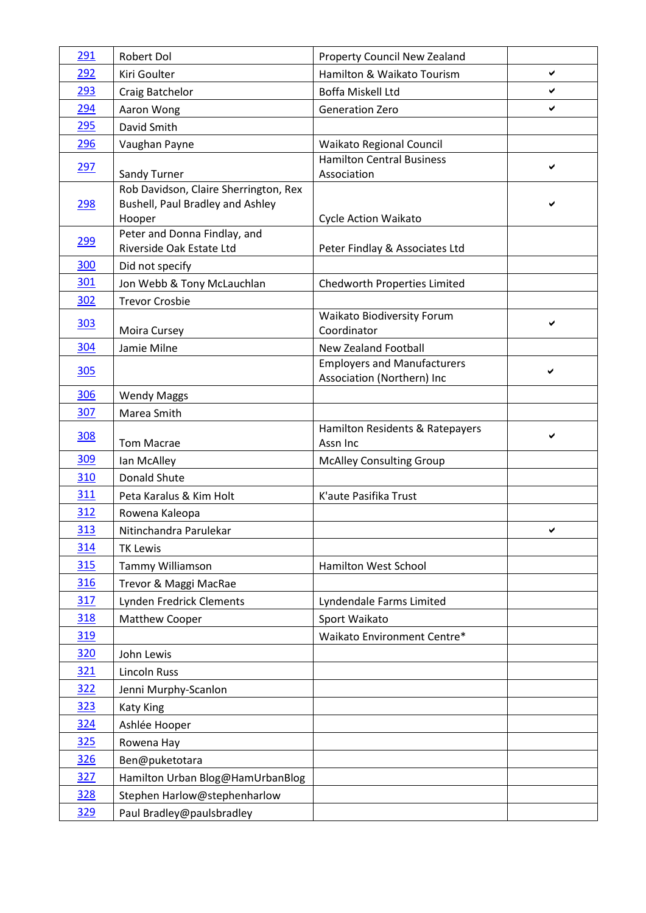| 291        | Robert Dol                                                                          | Property Council New Zealand                                     |   |
|------------|-------------------------------------------------------------------------------------|------------------------------------------------------------------|---|
| 292        | Kiri Goulter                                                                        | Hamilton & Waikato Tourism                                       | ✔ |
| 293        | Craig Batchelor                                                                     | Boffa Miskell Ltd                                                | ✔ |
| 294        | Aaron Wong                                                                          | <b>Generation Zero</b>                                           | ✔ |
| <u>295</u> | David Smith                                                                         |                                                                  |   |
| 296        | Vaughan Payne                                                                       | Waikato Regional Council                                         |   |
| 297        | Sandy Turner                                                                        | <b>Hamilton Central Business</b><br>Association                  | ✔ |
| <u>298</u> | Rob Davidson, Claire Sherrington, Rex<br>Bushell, Paul Bradley and Ashley<br>Hooper | Cycle Action Waikato                                             |   |
| <u>299</u> | Peter and Donna Findlay, and<br>Riverside Oak Estate Ltd                            | Peter Findlay & Associates Ltd                                   |   |
| 300        | Did not specify                                                                     |                                                                  |   |
| 301        | Jon Webb & Tony McLauchlan                                                          | Chedworth Properties Limited                                     |   |
| 302        | <b>Trevor Crosbie</b>                                                               |                                                                  |   |
| <u>303</u> | Moira Cursey                                                                        | Waikato Biodiversity Forum<br>Coordinator                        | ✔ |
| 304        | Jamie Milne                                                                         | New Zealand Football                                             |   |
| <b>305</b> |                                                                                     | <b>Employers and Manufacturers</b><br>Association (Northern) Inc | ✔ |
| 306        | <b>Wendy Maggs</b>                                                                  |                                                                  |   |
| 307        | Marea Smith                                                                         |                                                                  |   |
| <u>308</u> | <b>Tom Macrae</b>                                                                   | Hamilton Residents & Ratepayers<br>Assn Inc                      | ✔ |
| 309        | Ian McAlley                                                                         | <b>McAlley Consulting Group</b>                                  |   |
| 310        | <b>Donald Shute</b>                                                                 |                                                                  |   |
| 311        | Peta Karalus & Kim Holt                                                             | K'aute Pasifika Trust                                            |   |
| 312        | Rowena Kaleopa                                                                      |                                                                  |   |
| <u>313</u> | Nitinchandra Parulekar                                                              |                                                                  | ✔ |
| 314        | <b>TK Lewis</b>                                                                     |                                                                  |   |
| 315        | <b>Tammy Williamson</b>                                                             | Hamilton West School                                             |   |
| 316        | Trevor & Maggi MacRae                                                               |                                                                  |   |
| <u>317</u> | Lynden Fredrick Clements                                                            | Lyndendale Farms Limited                                         |   |
| 318        | <b>Matthew Cooper</b>                                                               | Sport Waikato                                                    |   |
| 319        |                                                                                     | Waikato Environment Centre*                                      |   |
| 320        | John Lewis                                                                          |                                                                  |   |
| 321        | <b>Lincoln Russ</b>                                                                 |                                                                  |   |
| 322        | Jenni Murphy-Scanlon                                                                |                                                                  |   |
| 323        | <b>Katy King</b>                                                                    |                                                                  |   |
| <u>324</u> | Ashlée Hooper                                                                       |                                                                  |   |
| <u>325</u> | Rowena Hay                                                                          |                                                                  |   |
| <b>326</b> | Ben@puketotara                                                                      |                                                                  |   |
| <u>327</u> | Hamilton Urban Blog@HamUrbanBlog                                                    |                                                                  |   |
| 328        | Stephen Harlow@stephenharlow                                                        |                                                                  |   |
| <u>329</u> | Paul Bradley@paulsbradley                                                           |                                                                  |   |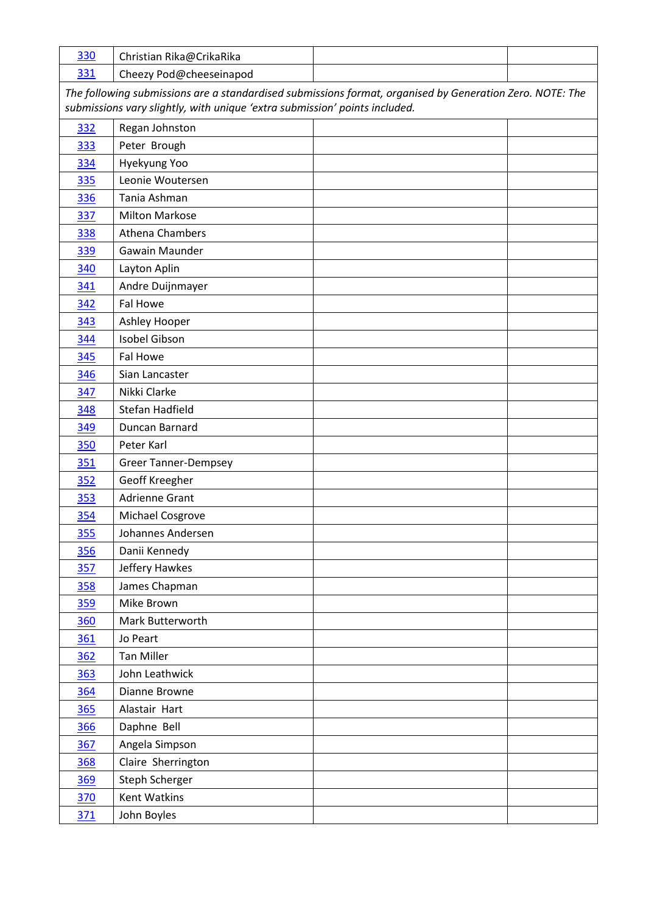| 330 | Christian Rika@CrikaRika                                                                                 |  |
|-----|----------------------------------------------------------------------------------------------------------|--|
| 331 | Cheezy Pod@cheeseinapod                                                                                  |  |
|     | The following submissions are a standardised submissions format, organised by Generation Zero. NOTE: The |  |
|     | submissions vary slightly, with unique 'extra submission' points included.                               |  |
| 332 | Regan Johnston                                                                                           |  |
| 333 | Peter Brough                                                                                             |  |
| 334 | Hyekyung Yoo                                                                                             |  |
| 335 | Leonie Woutersen                                                                                         |  |
| 336 | Tania Ashman                                                                                             |  |
| 337 | <b>Milton Markose</b>                                                                                    |  |
| 338 | Athena Chambers                                                                                          |  |
| 339 | Gawain Maunder                                                                                           |  |
| 340 | Layton Aplin                                                                                             |  |
| 341 | Andre Duijnmayer                                                                                         |  |
| 342 | Fal Howe                                                                                                 |  |
| 343 | Ashley Hooper                                                                                            |  |
| 344 | Isobel Gibson                                                                                            |  |
| 345 | Fal Howe                                                                                                 |  |
| 346 | Sian Lancaster                                                                                           |  |
| 347 | Nikki Clarke                                                                                             |  |
| 348 | Stefan Hadfield                                                                                          |  |
| 349 | Duncan Barnard                                                                                           |  |
| 350 | Peter Karl                                                                                               |  |
| 351 | <b>Greer Tanner-Dempsey</b>                                                                              |  |
| 352 | Geoff Kreegher                                                                                           |  |
| 353 | <b>Adrienne Grant</b>                                                                                    |  |
| 354 | Michael Cosgrove                                                                                         |  |
| 355 | Johannes Andersen                                                                                        |  |
| 356 | Danii Kennedy                                                                                            |  |
| 357 | Jeffery Hawkes                                                                                           |  |
| 358 | James Chapman                                                                                            |  |
| 359 | Mike Brown                                                                                               |  |
| 360 | Mark Butterworth                                                                                         |  |
| 361 | Jo Peart                                                                                                 |  |
| 362 | <b>Tan Miller</b>                                                                                        |  |
| 363 | John Leathwick                                                                                           |  |
| 364 | Dianne Browne                                                                                            |  |
| 365 | Alastair Hart                                                                                            |  |
| 366 | Daphne Bell                                                                                              |  |
| 367 | Angela Simpson                                                                                           |  |
| 368 | Claire Sherrington                                                                                       |  |
| 369 | Steph Scherger                                                                                           |  |
| 370 | Kent Watkins                                                                                             |  |
| 371 | John Boyles                                                                                              |  |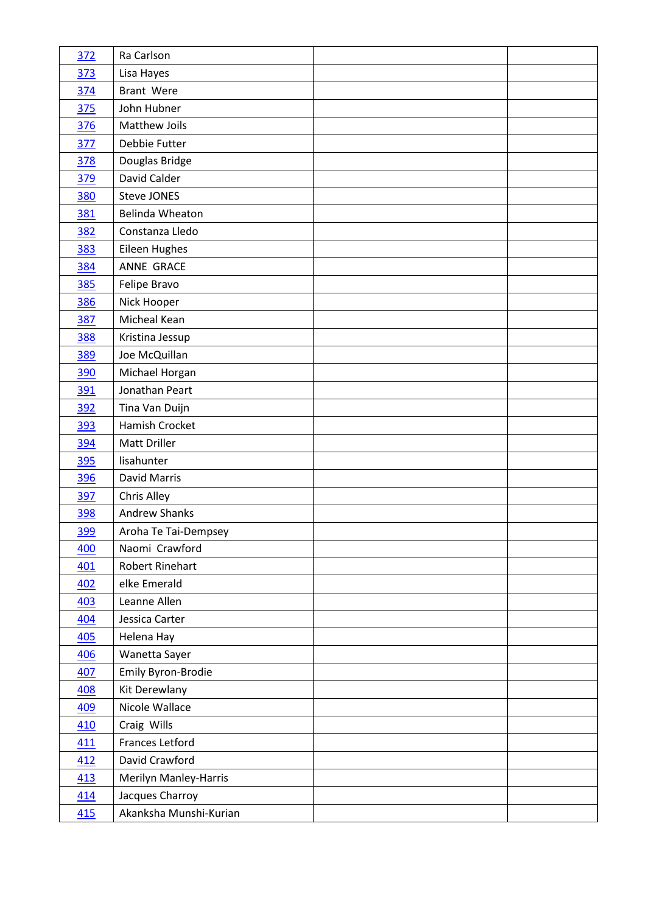| 372        | Ra Carlson             |  |
|------------|------------------------|--|
| 373        | Lisa Hayes             |  |
| 374        | Brant Were             |  |
| 375        | John Hubner            |  |
| 376        | Matthew Joils          |  |
| 377        | Debbie Futter          |  |
| 378        | Douglas Bridge         |  |
| 379        | David Calder           |  |
| 380        | <b>Steve JONES</b>     |  |
| 381        | Belinda Wheaton        |  |
| 382        | Constanza Lledo        |  |
| <u>383</u> | Eileen Hughes          |  |
| 384        | ANNE GRACE             |  |
| 385        | Felipe Bravo           |  |
| 386        | Nick Hooper            |  |
| 387        | Micheal Kean           |  |
| 388        | Kristina Jessup        |  |
| 389        | Joe McQuillan          |  |
| 390        | Michael Horgan         |  |
| 391        | Jonathan Peart         |  |
| 392        | Tina Van Duijn         |  |
| 393        | Hamish Crocket         |  |
| 394        | <b>Matt Driller</b>    |  |
| 395        | lisahunter             |  |
| 396        | David Marris           |  |
| 397        | Chris Alley            |  |
| <b>398</b> | <b>Andrew Shanks</b>   |  |
| <u>399</u> | Aroha Te Tai-Dempsey   |  |
| 400        | Naomi Crawford         |  |
| 401        | Robert Rinehart        |  |
| 402        | elke Emerald           |  |
| 403        | Leanne Allen           |  |
| 404        | Jessica Carter         |  |
| 405        | Helena Hay             |  |
| 406        | Wanetta Sayer          |  |
| 407        | Emily Byron-Brodie     |  |
| <b>408</b> | Kit Derewlany          |  |
| 409        | Nicole Wallace         |  |
| 410        | Craig Wills            |  |
| 411        | Frances Letford        |  |
| 412        | David Crawford         |  |
| 413        | Merilyn Manley-Harris  |  |
| 414        | Jacques Charroy        |  |
| 415        | Akanksha Munshi-Kurian |  |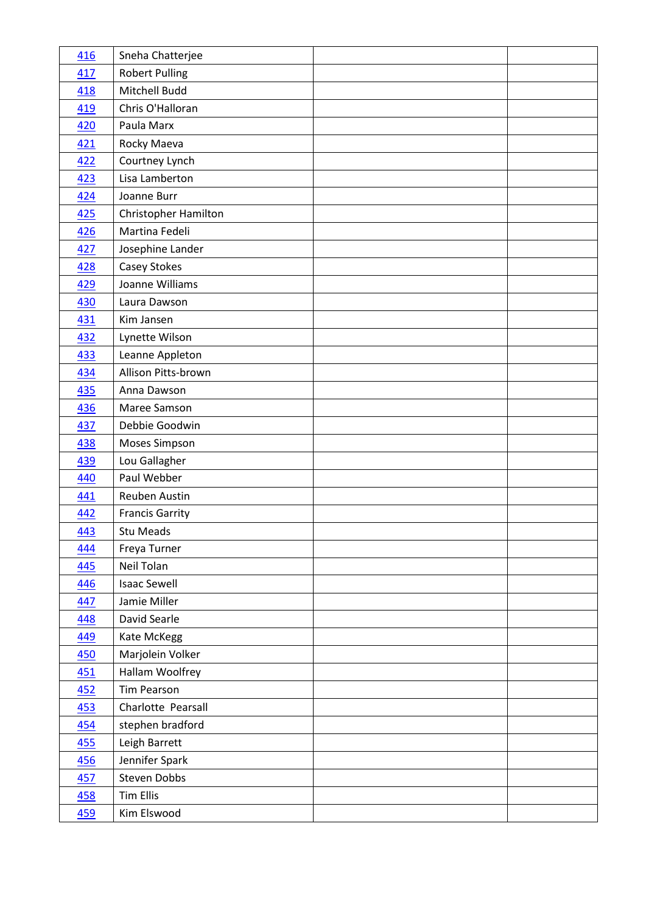| 416        | Sneha Chatterjee       |  |
|------------|------------------------|--|
| 417        | <b>Robert Pulling</b>  |  |
| 418        | Mitchell Budd          |  |
| 419        | Chris O'Halloran       |  |
| 420        | Paula Marx             |  |
| 421        | Rocky Maeva            |  |
| 422        | Courtney Lynch         |  |
| 423        | Lisa Lamberton         |  |
| 424        | Joanne Burr            |  |
| 425        | Christopher Hamilton   |  |
| 426        | Martina Fedeli         |  |
| 427        | Josephine Lander       |  |
| 428        | Casey Stokes           |  |
| 429        | Joanne Williams        |  |
| 430        | Laura Dawson           |  |
| 431        | Kim Jansen             |  |
| 432        | Lynette Wilson         |  |
| 433        | Leanne Appleton        |  |
| 434        | Allison Pitts-brown    |  |
| 435        | Anna Dawson            |  |
| 436        | Maree Samson           |  |
| 437        | Debbie Goodwin         |  |
| 438        | Moses Simpson          |  |
| 439        | Lou Gallagher          |  |
| 440        | Paul Webber            |  |
| 441        | Reuben Austin          |  |
| 442        | <b>Francis Garrity</b> |  |
| <u>443</u> | Stu Meads              |  |
| 444        | Freya Turner           |  |
| 445        | Neil Tolan             |  |
| <u>446</u> | <b>Isaac Sewell</b>    |  |
| 447        | Jamie Miller           |  |
| 448        | David Searle           |  |
| 449        | Kate McKegg            |  |
| 450        | Marjolein Volker       |  |
| 451        | Hallam Woolfrey        |  |
| <u>452</u> | <b>Tim Pearson</b>     |  |
| 453        | Charlotte Pearsall     |  |
| 454        | stephen bradford       |  |
| 455        | Leigh Barrett          |  |
| 456        | Jennifer Spark         |  |
| 457        | <b>Steven Dobbs</b>    |  |
| <b>458</b> | <b>Tim Ellis</b>       |  |
| <u>459</u> | Kim Elswood            |  |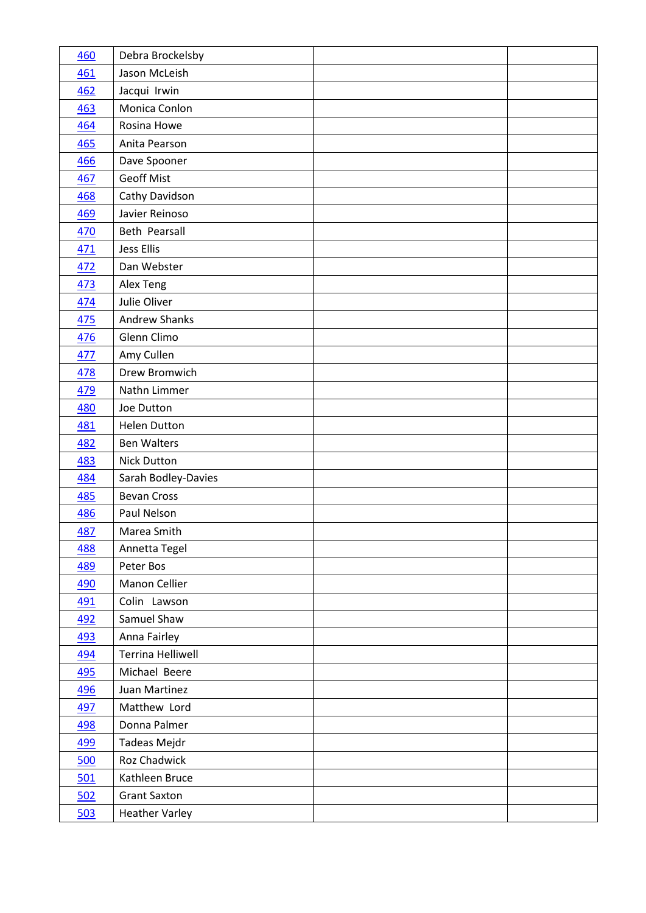| 460        | Debra Brockelsby      |  |
|------------|-----------------------|--|
| 461        | Jason McLeish         |  |
| 462        | Jacqui Irwin          |  |
| 463        | Monica Conlon         |  |
| 464        | Rosina Howe           |  |
| 465        | Anita Pearson         |  |
| 466        | Dave Spooner          |  |
| 467        | <b>Geoff Mist</b>     |  |
| 468        | Cathy Davidson        |  |
| 469        | Javier Reinoso        |  |
| 470        | Beth Pearsall         |  |
| 471        | Jess Ellis            |  |
| 472        | Dan Webster           |  |
| 473        | Alex Teng             |  |
| 474        | Julie Oliver          |  |
| 475        | <b>Andrew Shanks</b>  |  |
| 476        | Glenn Climo           |  |
| 477        | Amy Cullen            |  |
| 478        | Drew Bromwich         |  |
| 479        | Nathn Limmer          |  |
| 480        | Joe Dutton            |  |
| 481        | <b>Helen Dutton</b>   |  |
| <u>482</u> | <b>Ben Walters</b>    |  |
| 483        | <b>Nick Dutton</b>    |  |
| 484        | Sarah Bodley-Davies   |  |
| 485        | <b>Bevan Cross</b>    |  |
| 486        | Paul Nelson           |  |
| <u>487</u> | Marea Smith           |  |
| 488        | Annetta Tegel         |  |
| 489        | Peter Bos             |  |
| 490        | Manon Cellier         |  |
| 491        | Colin Lawson          |  |
| 492        | Samuel Shaw           |  |
| 493        | Anna Fairley          |  |
| 494        | Terrina Helliwell     |  |
| 495        | Michael Beere         |  |
| 496        | Juan Martinez         |  |
| 497        | Matthew Lord          |  |
| 498        | Donna Palmer          |  |
| 499        | Tadeas Mejdr          |  |
| 500        | Roz Chadwick          |  |
| 501        | Kathleen Bruce        |  |
| 502        | <b>Grant Saxton</b>   |  |
| 503        | <b>Heather Varley</b> |  |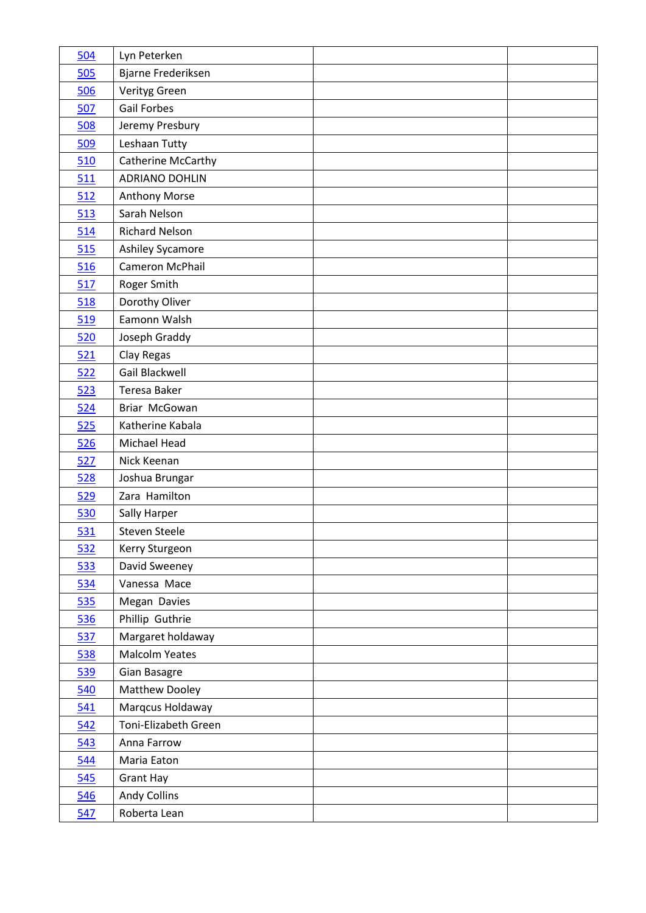| 504        | Lyn Peterken           |  |
|------------|------------------------|--|
| 505        | Bjarne Frederiksen     |  |
| 506        | Verityg Green          |  |
| 507        | <b>Gail Forbes</b>     |  |
| 508        | Jeremy Presbury        |  |
| 509        | Leshaan Tutty          |  |
| 510        | Catherine McCarthy     |  |
| 511        | <b>ADRIANO DOHLIN</b>  |  |
| 512        | <b>Anthony Morse</b>   |  |
| 513        | Sarah Nelson           |  |
| 514        | <b>Richard Nelson</b>  |  |
| 515        | Ashiley Sycamore       |  |
| 516        | <b>Cameron McPhail</b> |  |
| 517        | Roger Smith            |  |
| 518        | Dorothy Oliver         |  |
| 519        | Eamonn Walsh           |  |
| 520        | Joseph Graddy          |  |
| 521        | Clay Regas             |  |
| 522        | Gail Blackwell         |  |
| 523        | Teresa Baker           |  |
| 524        | Briar McGowan          |  |
| 525        | Katherine Kabala       |  |
| 526        | Michael Head           |  |
| 527        | Nick Keenan            |  |
| 528        | Joshua Brungar         |  |
| 529        | Zara Hamilton          |  |
| 530        | Sally Harper           |  |
| <u>531</u> | Steven Steele          |  |
| 532        | Kerry Sturgeon         |  |
| 533        | David Sweeney          |  |
| 534        | Vanessa Mace           |  |
| 535        | Megan Davies           |  |
| 536        | Phillip Guthrie        |  |
| <b>537</b> | Margaret holdaway      |  |
| 538        | <b>Malcolm Yeates</b>  |  |
| 539        | Gian Basagre           |  |
| 540        | Matthew Dooley         |  |
| 541        | Marqcus Holdaway       |  |
| 542        | Toni-Elizabeth Green   |  |
| 543        | Anna Farrow            |  |
| 544        | Maria Eaton            |  |
| 545        | <b>Grant Hay</b>       |  |
| 546        | <b>Andy Collins</b>    |  |
| 547        | Roberta Lean           |  |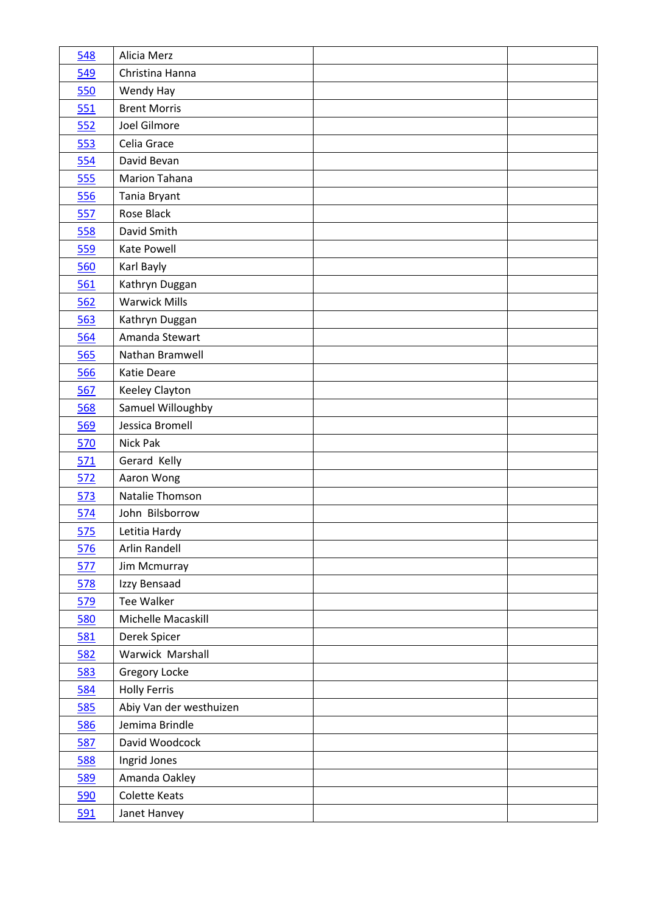| 548        | Alicia Merz             |  |
|------------|-------------------------|--|
| 549        | Christina Hanna         |  |
| 550        | Wendy Hay               |  |
| 551        | <b>Brent Morris</b>     |  |
| 552        | Joel Gilmore            |  |
| 553        | Celia Grace             |  |
| 554        | David Bevan             |  |
| 555        | <b>Marion Tahana</b>    |  |
| 556        | Tania Bryant            |  |
| 557        | Rose Black              |  |
| 558        | David Smith             |  |
| 559        | Kate Powell             |  |
| 560        | Karl Bayly              |  |
| 561        | Kathryn Duggan          |  |
| 562        | <b>Warwick Mills</b>    |  |
| 563        | Kathryn Duggan          |  |
| 564        | Amanda Stewart          |  |
| 565        | Nathan Bramwell         |  |
| 566        | Katie Deare             |  |
| 567        | Keeley Clayton          |  |
| 568        | Samuel Willoughby       |  |
| 569        | Jessica Bromell         |  |
| 570        | Nick Pak                |  |
| 571        | Gerard Kelly            |  |
| 572        | Aaron Wong              |  |
|            |                         |  |
| 573        | Natalie Thomson         |  |
| 574        | John Bilsborrow         |  |
| 575        | Letitia Hardy           |  |
| 576        | Arlin Randell           |  |
| 577        | Jim Mcmurray            |  |
| 578        | Izzy Bensaad            |  |
| 579        | <b>Tee Walker</b>       |  |
| 580        | Michelle Macaskill      |  |
| 581        | Derek Spicer            |  |
| 582        | Warwick Marshall        |  |
| <u>583</u> | Gregory Locke           |  |
| 584        | <b>Holly Ferris</b>     |  |
| 585        | Abiy Van der westhuizen |  |
| 586        | Jemima Brindle          |  |
| 587        | David Woodcock          |  |
| 588        | Ingrid Jones            |  |
| 589        | Amanda Oakley           |  |
| 590        | <b>Colette Keats</b>    |  |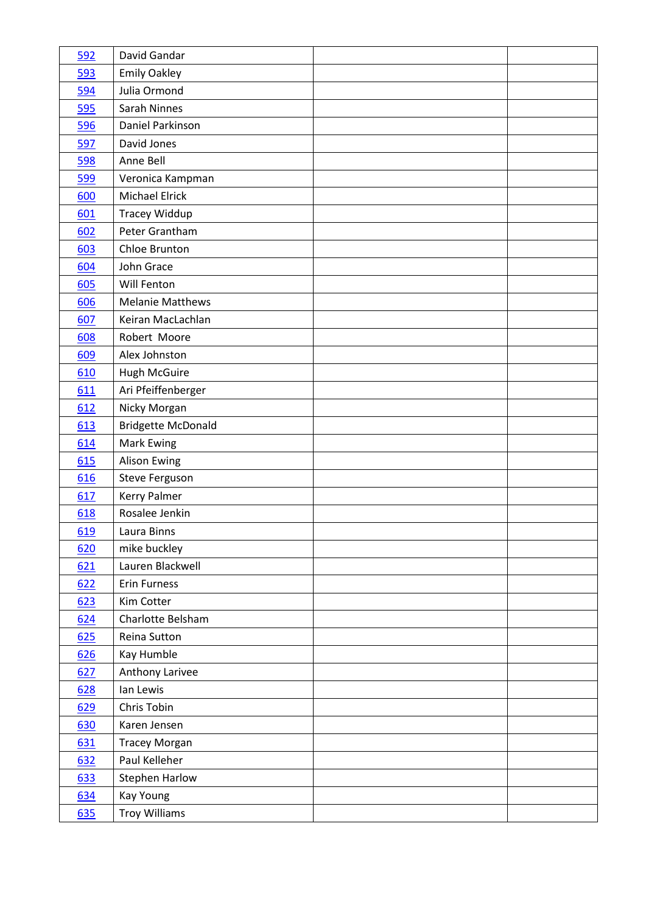| 592 | David Gandar              |  |
|-----|---------------------------|--|
| 593 | <b>Emily Oakley</b>       |  |
| 594 | Julia Ormond              |  |
| 595 | Sarah Ninnes              |  |
| 596 | Daniel Parkinson          |  |
| 597 | David Jones               |  |
| 598 | Anne Bell                 |  |
| 599 | Veronica Kampman          |  |
| 600 | <b>Michael Elrick</b>     |  |
| 601 | Tracey Widdup             |  |
| 602 | Peter Grantham            |  |
| 603 | Chloe Brunton             |  |
| 604 | John Grace                |  |
| 605 | Will Fenton               |  |
| 606 | <b>Melanie Matthews</b>   |  |
| 607 | Keiran MacLachlan         |  |
| 608 | Robert Moore              |  |
| 609 | Alex Johnston             |  |
| 610 | Hugh McGuire              |  |
| 611 | Ari Pfeiffenberger        |  |
| 612 | Nicky Morgan              |  |
| 613 | <b>Bridgette McDonald</b> |  |
| 614 | <b>Mark Ewing</b>         |  |
| 615 | <b>Alison Ewing</b>       |  |
| 616 | Steve Ferguson            |  |
| 617 | Kerry Palmer              |  |
| 618 | Rosalee Jenkin            |  |
| 619 | Laura Binns               |  |
| 620 | mike buckley              |  |
| 621 | Lauren Blackwell          |  |
| 622 | <b>Erin Furness</b>       |  |
| 623 | Kim Cotter                |  |
| 624 | Charlotte Belsham         |  |
| 625 | Reina Sutton              |  |
| 626 | Kay Humble                |  |
| 627 | Anthony Larivee           |  |
| 628 | Ian Lewis                 |  |
| 629 | Chris Tobin               |  |
| 630 | Karen Jensen              |  |
| 631 | <b>Tracey Morgan</b>      |  |
| 632 | Paul Kelleher             |  |
| 633 | <b>Stephen Harlow</b>     |  |
| 634 | <b>Kay Young</b>          |  |
| 635 | <b>Troy Williams</b>      |  |